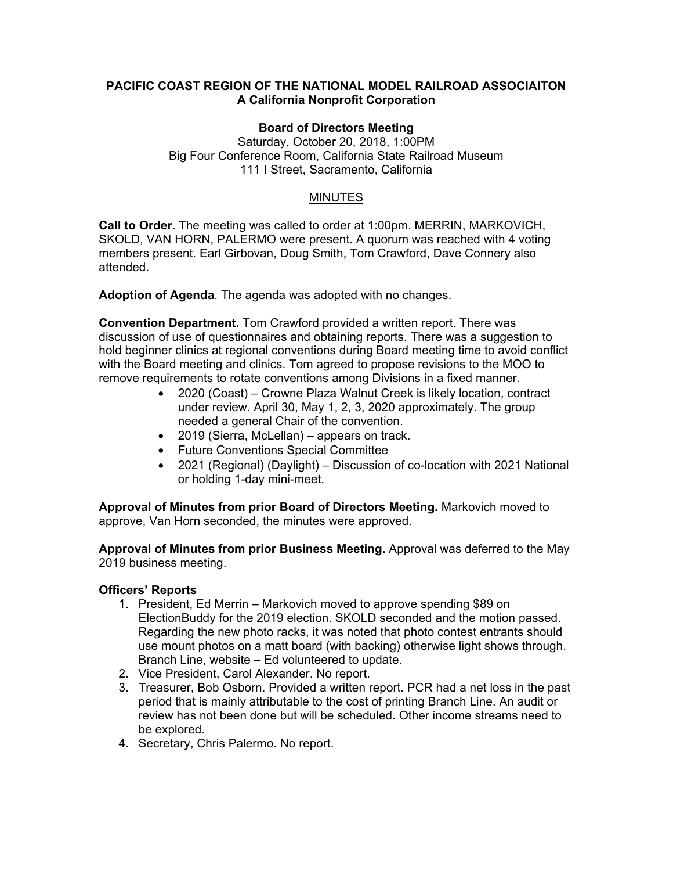### **PACIFIC COAST REGION OF THE NATIONAL MODEL RAILROAD ASSOCIAITON A California Nonprofit Corporation**

#### **Board of Directors Meeting**

Saturday, October 20, 2018, 1:00PM Big Four Conference Room, California State Railroad Museum 111 I Street, Sacramento, California

#### MINUTES

**Call to Order.** The meeting was called to order at 1:00pm. MERRIN, MARKOVICH, SKOLD, VAN HORN, PALERMO were present. A quorum was reached with 4 voting members present. Earl Girbovan, Doug Smith, Tom Crawford, Dave Connery also attended.

**Adoption of Agenda**. The agenda was adopted with no changes.

**Convention Department.** Tom Crawford provided a written report. There was discussion of use of questionnaires and obtaining reports. There was a suggestion to hold beginner clinics at regional conventions during Board meeting time to avoid conflict with the Board meeting and clinics. Tom agreed to propose revisions to the MOO to remove requirements to rotate conventions among Divisions in a fixed manner.

- 2020 (Coast) Crowne Plaza Walnut Creek is likely location, contract under review. April 30, May 1, 2, 3, 2020 approximately. The group needed a general Chair of the convention.
- 2019 (Sierra, McLellan) appears on track.
- Future Conventions Special Committee
- 2021 (Regional) (Daylight) Discussion of co-location with 2021 National or holding 1-day mini-meet.

**Approval of Minutes from prior Board of Directors Meeting.** Markovich moved to approve, Van Horn seconded, the minutes were approved.

**Approval of Minutes from prior Business Meeting.** Approval was deferred to the May 2019 business meeting.

## **Officers' Reports**

- 1. President, Ed Merrin Markovich moved to approve spending \$89 on ElectionBuddy for the 2019 election. SKOLD seconded and the motion passed. Regarding the new photo racks, it was noted that photo contest entrants should use mount photos on a matt board (with backing) otherwise light shows through. Branch Line, website – Ed volunteered to update.
- 2. Vice President, Carol Alexander. No report.
- 3. Treasurer, Bob Osborn. Provided a written report. PCR had a net loss in the past period that is mainly attributable to the cost of printing Branch Line. An audit or review has not been done but will be scheduled. Other income streams need to be explored.
- 4. Secretary, Chris Palermo. No report.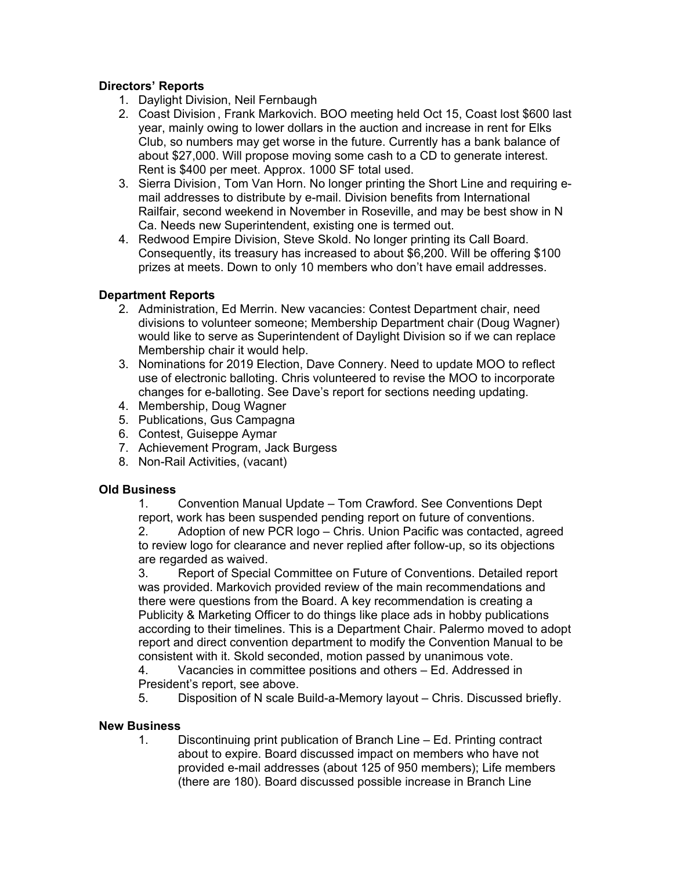## **Directors' Reports**

- 1. Daylight Division, Neil Fernbaugh
- 2. Coast Division , Frank Markovich. BOO meeting held Oct 15, Coast lost \$600 last year, mainly owing to lower dollars in the auction and increase in rent for Elks Club, so numbers may get worse in the future. Currently has a bank balance of about \$27,000. Will propose moving some cash to a CD to generate interest. Rent is \$400 per meet. Approx. 1000 SF total used.
- 3. Sierra Division , Tom Van Horn. No longer printing the Short Line and requiring email addresses to distribute by e-mail. Division benefits from International Railfair, second weekend in November in Roseville, and may be best show in N Ca. Needs new Superintendent, existing one is termed out.
- 4. Redwood Empire Division, Steve Skold. No longer printing its Call Board. Consequently, its treasury has increased to about \$6,200. Will be offering \$100 prizes at meets. Down to only 10 members who don't have email addresses.

## **Department Reports**

- 2. Administration, Ed Merrin. New vacancies: Contest Department chair, need divisions to volunteer someone; Membership Department chair (Doug Wagner) would like to serve as Superintendent of Daylight Division so if we can replace Membership chair it would help.
- 3. Nominations for 2019 Election, Dave Connery. Need to update MOO to reflect use of electronic balloting. Chris volunteered to revise the MOO to incorporate changes for e-balloting. See Dave's report for sections needing updating.
- 4. Membership, Doug Wagner
- 5. Publications, Gus Campagna
- 6. Contest, Guiseppe Aymar
- 7. Achievement Program, Jack Burgess
- 8. Non-Rail Activities, (vacant)

## **Old Business**

1. Convention Manual Update – Tom Crawford. See Conventions Dept report, work has been suspended pending report on future of conventions.

2. Adoption of new PCR logo – Chris. Union Pacific was contacted, agreed to review logo for clearance and never replied after follow-up, so its objections are regarded as waived.

3. Report of Special Committee on Future of Conventions. Detailed report was provided. Markovich provided review of the main recommendations and there were questions from the Board. A key recommendation is creating a Publicity & Marketing Officer to do things like place ads in hobby publications according to their timelines. This is a Department Chair. Palermo moved to adopt report and direct convention department to modify the Convention Manual to be consistent with it. Skold seconded, motion passed by unanimous vote.

4. Vacancies in committee positions and others – Ed. Addressed in President's report, see above.

5. Disposition of N scale Build-a-Memory layout – Chris. Discussed briefly.

# **New Business**

1. Discontinuing print publication of Branch Line – Ed. Printing contract about to expire. Board discussed impact on members who have not provided e-mail addresses (about 125 of 950 members); Life members (there are 180). Board discussed possible increase in Branch Line